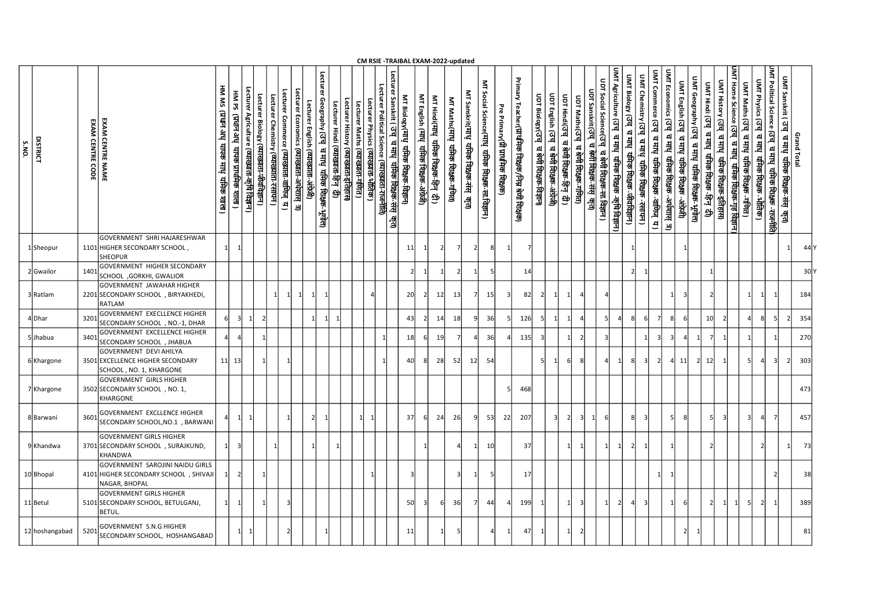|                   |                |                                      |                                                                                                  |                                                                               |                                                                                                                                       |                                                             |                                                                                                                                                                               |                                                                            |                                                                                                                                                                                                                                |         |                                                                              |                                 | CM RSIE -TRAIBAL EXAM-2022-updated     |                                                         |    |     |                                                                                        |                                                                                                                                                                                                                                          |  |  |                                                                                                                                                             |    |                                                                                                                                                   |                                                                                                                                                                                                          |                |                    |
|-------------------|----------------|--------------------------------------|--------------------------------------------------------------------------------------------------|-------------------------------------------------------------------------------|---------------------------------------------------------------------------------------------------------------------------------------|-------------------------------------------------------------|-------------------------------------------------------------------------------------------------------------------------------------------------------------------------------|----------------------------------------------------------------------------|--------------------------------------------------------------------------------------------------------------------------------------------------------------------------------------------------------------------------------|---------|------------------------------------------------------------------------------|---------------------------------|----------------------------------------|---------------------------------------------------------|----|-----|----------------------------------------------------------------------------------------|------------------------------------------------------------------------------------------------------------------------------------------------------------------------------------------------------------------------------------------|--|--|-------------------------------------------------------------------------------------------------------------------------------------------------------------|----|---------------------------------------------------------------------------------------------------------------------------------------------------|----------------------------------------------------------------------------------------------------------------------------------------------------------------------------------------------------------|----------------|--------------------|
| DISTRICT<br>S.NO. |                | EXAM CENTRE NAME<br>EXAM CENTRE CODE |                                                                                                  | нм PS (प्रधन अध् यापक प्राथमिक शाला)<br>нм мS (प्रधन अध् यापक माध् यमिक शाला) | Lecturer Chemistry (व्याख्याता-रसायन )<br>Lecturer Biology (व्याख्याता-जीवविज्ञान )<br>Lecturer Agriculture (व्याख्याता-कृषि विज्ञान) | Lecturer Commerce (व्याख्याता-वाणिज् य)<br>cturer Eco<br>لا | Lecturer Geography (उच्  च माध्  यमिक शिक्षक-भूगोल)<br>ieograpuy । ~ <sub>~</sub><br>Lecturer English (व्याख्याता-अर्थेजी)<br><sup>nere</sup> Economics (व्याख्याता-अर्थेशास् | ecturer History (व्याख्याता-इतिहास)<br>Lecturer Hindi (व्याख्याता-हिन् दो) | MT Biology(माध् यमिक शिक्षक-विज्ञान)<br>Lecturer Political Science (व्याख्याता-राजनीति)<br>Lecturer Political Science (व्याख्याता-राजनीति)<br>Lecturer Political Science (व्याख्याता-गणित)<br>Lecturer Maths (व्याख्याता-गणित) | ्य<br>ज | MT Hindi(माध् यमिक शिक्षक-हिन् दी)<br>MT English (माध् यमिक शिक्षक-अंग्रेजी) | MT Maths(माध् यमिक शिक्षक-गणित) | MT Sanskrit(माध् यमिक शिक्षक-संस् कृत) | MT Social Science(माध्<br>-<br>यमिक शिक्षक-सा.विज्ञान ) |    |     | uor English (उच् च श्रेणी शिक्षक-अंग्रेजी)<br>uor Biology(उच् च श्रेणी शिक्षक-विज्ञान) | UMT Commerce (उद् च माध् यमिक शिक्षक -वाणिल् य)<br>The Telemistry (उद् च माध् यमिक शिक्षक -अवविज्ञान)<br>UMT Agriculture (उद् च माध् यमिक शिक्षक -अविज्ञान)<br>UMT Agriculture (उद च माध् यमिक शिक्षक -कृषि दिज्ञान)<br>The Top Telemist |  |  | UMT Geography (उच् च माध् यमिक शिक्षक: भूगोल)<br>- UMT English (उच् च माध् यमिक शिक्षक -अंग्रेजी)<br>- UMT Economics (उच् च माध् यमिक शिक्षक -अर्थशास् त्र) |    | MT Home Science (उच् च माध् यमिक शिक्षक-ग्रह विज्ञान<br>UMT History (उच् च माध् यमिक शिक्षक-इतिहास)<br>UMT Hindi (उच् च माध् यमिक शिक्षक-हिन् दी) | uvn sanskrit (उच् च माध् यमिक शिक्षक-संस् कृत)<br>Invi Political Science (उच् च माध् यमिक शिक्षक-राजनीति)<br>Invi Physics (उच् च माध् यमिक शिक्षक-राजनीति)<br>Invi Maths (उच् च माध् यमिक शिक्षक -राणित) |                | <b>Grand Total</b> |
|                   | 1 Sheopur      |                                      | GOVERNMENT SHRI HAJARESHWAR<br>1101 HIGHER SECONDARY SCHOOL<br>SHEOPUR                           |                                                                               |                                                                                                                                       |                                                             |                                                                                                                                                                               |                                                                            |                                                                                                                                                                                                                                |         | 11                                                                           |                                 |                                        | 8                                                       |    |     |                                                                                        |                                                                                                                                                                                                                                          |  |  |                                                                                                                                                             |    |                                                                                                                                                   |                                                                                                                                                                                                          |                | 44                 |
|                   | 2 Gwailor      | 140:                                 | GOVERNMENT HIGHER SECONDARY<br>SCHOOL ,GORKHI, GWALIOR                                           |                                                                               |                                                                                                                                       |                                                             |                                                                                                                                                                               |                                                                            |                                                                                                                                                                                                                                |         |                                                                              |                                 |                                        |                                                         |    | 14  |                                                                                        |                                                                                                                                                                                                                                          |  |  |                                                                                                                                                             |    |                                                                                                                                                   |                                                                                                                                                                                                          |                | 30 <sub>Y</sub>    |
|                   | 3 Ratlam       |                                      | GOVERNMENT JAWAHAR HIGHER<br>2201 SECONDARY SCHOOL , BIRYAKHEDI,                                 |                                                                               |                                                                                                                                       |                                                             |                                                                                                                                                                               |                                                                            |                                                                                                                                                                                                                                |         | 20                                                                           | 12                              | 13I                                    | 15                                                      |    | 82  |                                                                                        |                                                                                                                                                                                                                                          |  |  |                                                                                                                                                             |    |                                                                                                                                                   |                                                                                                                                                                                                          |                | 184                |
| 4Dhar             |                | 320:                                 | RATLAM<br>GOVERNMENT EXECLLENCE HIGHER<br>SECONDARY SCHOOL , NO.-1, DHAR                         |                                                                               |                                                                                                                                       |                                                             |                                                                                                                                                                               |                                                                            |                                                                                                                                                                                                                                |         | 4 <sup>2</sup>                                                               |                                 | 18                                     | 36                                                      |    | 126 |                                                                                        |                                                                                                                                                                                                                                          |  |  |                                                                                                                                                             |    |                                                                                                                                                   |                                                                                                                                                                                                          |                | 354                |
|                   | 5Jhabua        | 340                                  | GOVERNMENT EXCELLENCE HIGHER<br>ECONDARY SCHOOL , JHABUA                                         |                                                                               |                                                                                                                                       |                                                             |                                                                                                                                                                               |                                                                            |                                                                                                                                                                                                                                |         | 18                                                                           | 19                              |                                        | 36                                                      |    | 135 |                                                                                        |                                                                                                                                                                                                                                          |  |  |                                                                                                                                                             |    |                                                                                                                                                   |                                                                                                                                                                                                          |                | 270                |
|                   | 6 Khargone     |                                      | GOVERNMENT DEVI AHILYA<br>3501 EXCELLENCE HIGHER SECONDARY<br>SCHOOL , NO. 1, KHARGONE           | 13                                                                            |                                                                                                                                       |                                                             |                                                                                                                                                                               |                                                                            |                                                                                                                                                                                                                                |         | 40                                                                           | 28                              | 52<br>12                               | 54                                                      |    |     | 51                                                                                     | 8                                                                                                                                                                                                                                        |  |  |                                                                                                                                                             | 12 |                                                                                                                                                   |                                                                                                                                                                                                          | $\overline{2}$ | 303                |
|                   | 7 Khargone     |                                      | <b>GOVERNMENT GIRLS HIGHER</b><br>3502 SECONDARY SCHOOL, NO. 1,<br>KHARGONE                      |                                                                               |                                                                                                                                       |                                                             |                                                                                                                                                                               |                                                                            |                                                                                                                                                                                                                                |         |                                                                              |                                 |                                        |                                                         |    | 468 |                                                                                        |                                                                                                                                                                                                                                          |  |  |                                                                                                                                                             |    |                                                                                                                                                   |                                                                                                                                                                                                          |                | 473                |
|                   | 8Barwani       | 3601                                 | GOVERNMENT EXCLLENCE HIGHER<br>SECONDARY SCHOOL,NO.1 , BARWAN                                    |                                                                               |                                                                                                                                       |                                                             |                                                                                                                                                                               |                                                                            |                                                                                                                                                                                                                                |         | 37                                                                           | 24                              | 26                                     | 53                                                      | 22 | 207 |                                                                                        |                                                                                                                                                                                                                                          |  |  |                                                                                                                                                             |    |                                                                                                                                                   |                                                                                                                                                                                                          |                | 457                |
|                   | 9 Khandwa      |                                      | <b>GOVERNMENT GIRLS HIGHER</b><br>3701 SECONDARY SCHOOL, SURAJKUND,<br><b>KHANDWA</b>            |                                                                               |                                                                                                                                       |                                                             |                                                                                                                                                                               |                                                                            |                                                                                                                                                                                                                                |         |                                                                              |                                 |                                        | 10 <sup>1</sup>                                         |    | 37  |                                                                                        |                                                                                                                                                                                                                                          |  |  |                                                                                                                                                             |    |                                                                                                                                                   |                                                                                                                                                                                                          |                | 73                 |
|                   | 10 Bhopal      |                                      | <b>GOVERNMENT SAROJINI NAIDU GIRLS</b><br>4101 HIGHER SECONDARY SCHOOL, SHIVAJI<br>NAGAR, BHOPAL |                                                                               |                                                                                                                                       |                                                             |                                                                                                                                                                               |                                                                            |                                                                                                                                                                                                                                |         |                                                                              |                                 |                                        |                                                         |    | 17  |                                                                                        |                                                                                                                                                                                                                                          |  |  |                                                                                                                                                             |    |                                                                                                                                                   |                                                                                                                                                                                                          |                | 38                 |
| 11 Betul          |                |                                      | <b>GOVERNMENT GIRLS HIGHER</b><br>5101 SECONDARY SCHOOL, BETULGANJ,<br>BETUL.                    |                                                                               |                                                                                                                                       |                                                             |                                                                                                                                                                               |                                                                            |                                                                                                                                                                                                                                |         | 50                                                                           |                                 | 36I                                    | 44                                                      | ΔI | 199 |                                                                                        |                                                                                                                                                                                                                                          |  |  |                                                                                                                                                             |    |                                                                                                                                                   |                                                                                                                                                                                                          |                | 389                |
|                   | 12 hoshangabad | 5201                                 | GOVERNMENT S.N.G HIGHER<br>SECONDARY SCHOOL, HOSHANGABAD                                         |                                                                               |                                                                                                                                       |                                                             |                                                                                                                                                                               |                                                                            |                                                                                                                                                                                                                                |         | 11                                                                           |                                 |                                        |                                                         | 1  | 47  |                                                                                        |                                                                                                                                                                                                                                          |  |  |                                                                                                                                                             |    |                                                                                                                                                   |                                                                                                                                                                                                          |                | 81                 |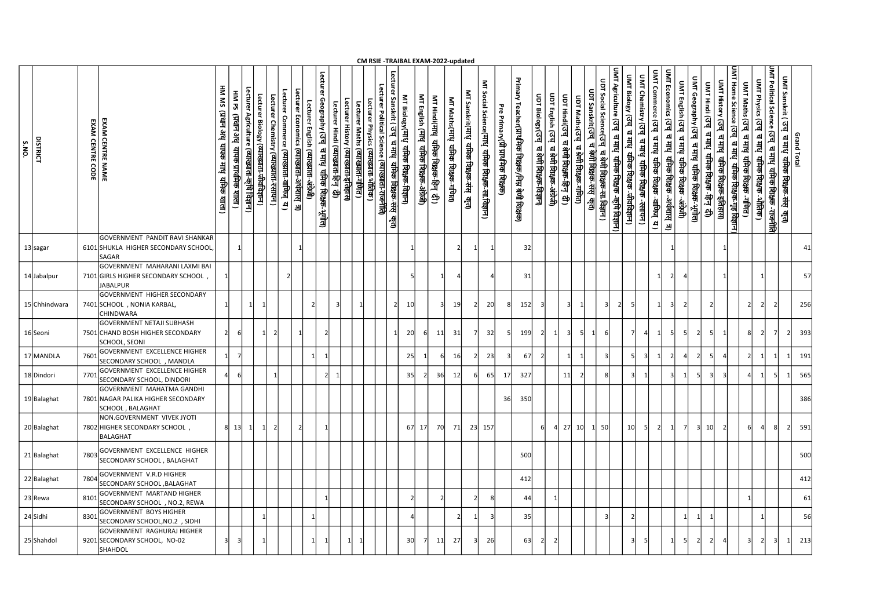| DISTRICT<br>S.NO. |               |      | EXAM CENTRE NAME<br>EXAM CENTRE CODE | GOVERNMENT PANDIT RAVI SHANKAR                                                       | HM PS (प्रधान अध् यापक प्राथमिक शाला )<br>HM MS (प्रधान अध् यापक माध् यमिक शाला ) | Lecturer Agriculture (व्याख्याता-कृषि विज्ञान)<br>HM PS (प्रधान अध्  यापक प्राथमिक शाला ) | Lecturer Biology (व्याख्याता-जीवविज्ञान) | Lecturer Geography (उच्<br>Lecturer English (व्याख्याता-अंग्रेजी)<br>Lecturer Economics (व्याख्याता-अर्थ्यास् त्र)<br>Lecturer Economics (व्याख्याता-अर्थ्यास् त्र) |  | ecturer History (व्याख्याता-इतिहास<br>Lecturer Hindi (व्याख्याता-हिन् दौ)<br><u>गता-इतिहास)</u> | <u>.ecturer Maths (व्याख्याता-गणित)</u> | MT Biology(माध् यमिक शिक्षकः विज्ञान)<br>- Lecturer Political Science (व्याख्याता-राजनीति)<br>- Lecturer Political Science (व्याख्याता-राजनीति)<br>- Lecturer Physics (व्याख्याता-भौतिक)<br>्<br>जु | CM RSIE -TRAIBAL EXAM-2022-updated<br>мт ніпаі(माध् यमिक शिक्षक-हिन् दी)<br>мт English (माध् यमिक शिक्षक-अंग्रेजी) |                 | MT Sanskrit(माध् यमिक शिक्षक-संस् कृत) | MT Social Science(माध्  यमिक शिक्षक-सा.विज्ञान )<br>Pre Primary(प्री प्राथमिक शिक्षक) | Primary Teacher(प्राथमिक शिक्षक/निम्न श्रेणी शिक्षक)<br>- | uor Biology(उच् च श्रेणी शिक्षक-विज्ञान) |                |     | lunn Agriculture (उच्<br>TUS Social Science(उच् च अंशो शिक्षक -स्तृषि विज्ञान)<br>UDT Sanskrit(उच् च अंशो शिक्षक -सर् क्तृत)<br>UDT Sanskrit(उच् च अंशो शिक्षक -सर्च कृत)<br>UDT Finelish (उच् च अंशो शिक्षक-अंश्रेजी)<br>UDT English (उच् च | uwr Biology (उच् च माध् यमिक शिक्षक -जीवविज्ञान) |     | UMT English (उच् च माध् यमिक शिक्षक -अंग्रेजी)<br>UMT Commerce (उच् च माध् यमिक शिक्षक -अर्थशास् त्र)<br>UMT Commerce (उच् च माध् यमिक शिक्षक -अर्थशास् त्र)<br>UMT Chemistry (उच् च माध् यमिक शिक्षक -रसायन) |      |                                 |    | Juvr Political Science (उच् च माध् यमिक शिक्षक -राजनीति<br>- UMT Physics (उच् च माध् यमिक शिक्षक -गणित )<br>- UMT Helstory (उच् च माध् यमिक शिक्षक -गणित )<br>- UMT Helstory (उच् च माध् यमिक शिक्षक -गणित )<br>- UMT Helstory (उच् च माध |           | Grand Total<br>UMT Sanskrit (उच् |
|-------------------|---------------|------|--------------------------------------|--------------------------------------------------------------------------------------|-----------------------------------------------------------------------------------|-------------------------------------------------------------------------------------------|------------------------------------------|---------------------------------------------------------------------------------------------------------------------------------------------------------------------|--|-------------------------------------------------------------------------------------------------|-----------------------------------------|-----------------------------------------------------------------------------------------------------------------------------------------------------------------------------------------------------|--------------------------------------------------------------------------------------------------------------------|-----------------|----------------------------------------|---------------------------------------------------------------------------------------|-----------------------------------------------------------|------------------------------------------|----------------|-----|----------------------------------------------------------------------------------------------------------------------------------------------------------------------------------------------------------------------------------------------|--------------------------------------------------|-----|---------------------------------------------------------------------------------------------------------------------------------------------------------------------------------------------------------------|------|---------------------------------|----|-------------------------------------------------------------------------------------------------------------------------------------------------------------------------------------------------------------------------------------------|-----------|----------------------------------|
|                   | 13 sagar      |      |                                      | 6101 SHUKLA<br>HIGHER SECONDARY SCHOOL<br>SAGAR                                      |                                                                                   |                                                                                           |                                          |                                                                                                                                                                     |  |                                                                                                 |                                         |                                                                                                                                                                                                     |                                                                                                                    |                 |                                        |                                                                                       |                                                           | 32                                       |                |     |                                                                                                                                                                                                                                              |                                                  |     |                                                                                                                                                                                                               |      |                                 |    |                                                                                                                                                                                                                                           |           | 41                               |
|                   | 14 Jabalpur   |      |                                      | GOVERNMENT MAHARANI LAXMI BAI<br>7101 GIRLS HIGHER SECONDARY SCHOOL<br>ABALPUR       |                                                                                   |                                                                                           |                                          |                                                                                                                                                                     |  |                                                                                                 |                                         |                                                                                                                                                                                                     |                                                                                                                    |                 |                                        |                                                                                       |                                                           | 31                                       |                |     |                                                                                                                                                                                                                                              |                                                  |     |                                                                                                                                                                                                               |      |                                 |    |                                                                                                                                                                                                                                           |           | 57                               |
|                   | 15 Chhindwara |      |                                      | GOVERNMENT HIGHER SECONDARY<br>7401 SCHOOL, NONIA KARBAL,                            |                                                                                   |                                                                                           |                                          |                                                                                                                                                                     |  |                                                                                                 |                                         |                                                                                                                                                                                                     | 10                                                                                                                 | <b>19</b>       |                                        | 20                                                                                    | 152                                                       |                                          |                | -31 |                                                                                                                                                                                                                                              |                                                  |     |                                                                                                                                                                                                               |      |                                 |    |                                                                                                                                                                                                                                           |           | 256                              |
|                   | 16 Seoni      |      |                                      | CHINDWARA<br>GOVERNMENT NETAJI SUBHASH<br>7501 CHAND BOSH HIGHER SECONDARY           |                                                                                   | $6 \mid$                                                                                  |                                          |                                                                                                                                                                     |  |                                                                                                 |                                         |                                                                                                                                                                                                     | 20                                                                                                                 | 31<br>11        |                                        | 32                                                                                    |                                                           | 199                                      |                |     |                                                                                                                                                                                                                                              |                                                  |     |                                                                                                                                                                                                               |      |                                 |    |                                                                                                                                                                                                                                           |           | 393                              |
|                   | 17 MANDLA     | 7601 |                                      | <b>CHOOL, SEONI</b><br>GOVERNMENT EXCELLENCE HIGHER<br>SECONDARY SCHOOL , MANDLA     |                                                                                   |                                                                                           |                                          |                                                                                                                                                                     |  |                                                                                                 |                                         |                                                                                                                                                                                                     | 25                                                                                                                 | 16              |                                        | 23                                                                                    |                                                           |                                          |                |     |                                                                                                                                                                                                                                              |                                                  |     |                                                                                                                                                                                                               |      |                                 |    |                                                                                                                                                                                                                                           |           | 191                              |
|                   | 18 Dindori    | 770  |                                      | <b>GOVERNMENT EXCELLENCE HIGHER</b><br>SECONDARY SCHOOL, DINDORI                     |                                                                                   |                                                                                           |                                          |                                                                                                                                                                     |  |                                                                                                 |                                         |                                                                                                                                                                                                     | 35                                                                                                                 | ٩۴<br>12        |                                        | 65                                                                                    | 327<br>17                                                 |                                          |                | 11  |                                                                                                                                                                                                                                              |                                                  |     |                                                                                                                                                                                                               |      |                                 |    |                                                                                                                                                                                                                                           |           | 565                              |
|                   | 19Balaghat    |      |                                      | GOVERNMENT MAHATMA GANDHI<br>7801 NAGAR PALIKA HIGHER SECONDARY<br>SCHOOL , BALAGHAT |                                                                                   |                                                                                           |                                          |                                                                                                                                                                     |  |                                                                                                 |                                         |                                                                                                                                                                                                     |                                                                                                                    |                 |                                        |                                                                                       | 350<br>36                                                 |                                          |                |     |                                                                                                                                                                                                                                              |                                                  |     |                                                                                                                                                                                                               |      |                                 |    |                                                                                                                                                                                                                                           |           | 386                              |
|                   | 20 Balaghat   |      |                                      | NON.GOVERNMENT VIVEK JYOTI<br>7802 HIGHER SECONDARY SCHOOL<br>BALAGHAT               | 8 13                                                                              |                                                                                           |                                          |                                                                                                                                                                     |  |                                                                                                 |                                         |                                                                                                                                                                                                     | 67 17                                                                                                              | 70<br><b>71</b> | 23                                     | 157                                                                                   |                                                           | -61                                      | 4 27           | 10  | 50                                                                                                                                                                                                                                           | 10                                               | -51 |                                                                                                                                                                                                               |      | 10                              | 61 |                                                                                                                                                                                                                                           | -81       | 591                              |
|                   | 21 Balaghat   | 7803 |                                      | GOVERNMENT EXCELLENCE HIGHER<br>SECONDARY SCHOOL, BALAGHAT                           |                                                                                   |                                                                                           |                                          |                                                                                                                                                                     |  |                                                                                                 |                                         |                                                                                                                                                                                                     |                                                                                                                    |                 |                                        |                                                                                       |                                                           | 500                                      |                |     |                                                                                                                                                                                                                                              |                                                  |     |                                                                                                                                                                                                               |      |                                 |    |                                                                                                                                                                                                                                           |           | 500                              |
|                   | 22 Balaghat   | 7804 |                                      | <b>GOVERNMENT V.R.D HIGHER</b><br>SECONDARY SCHOOL , BALAGHAT                        |                                                                                   |                                                                                           |                                          |                                                                                                                                                                     |  |                                                                                                 |                                         |                                                                                                                                                                                                     |                                                                                                                    |                 |                                        |                                                                                       | 412                                                       |                                          |                |     |                                                                                                                                                                                                                                              |                                                  |     |                                                                                                                                                                                                               |      |                                 |    |                                                                                                                                                                                                                                           |           | 412                              |
|                   | 23 Rewa       | 8101 |                                      | GOVERNMENT MARTAND HIGHER<br>SECONDARY SCHOOL , NO.2, REWA                           |                                                                                   |                                                                                           |                                          |                                                                                                                                                                     |  |                                                                                                 |                                         |                                                                                                                                                                                                     |                                                                                                                    |                 |                                        |                                                                                       |                                                           | $\Delta \Delta$                          |                |     |                                                                                                                                                                                                                                              |                                                  |     |                                                                                                                                                                                                               |      |                                 |    |                                                                                                                                                                                                                                           |           | 61                               |
|                   | 24 Sidhi      | 8301 |                                      | GOVERNMENT BOYS HIGHER<br>SECONDARY SCHOOL, NO.2 , SIDHI                             |                                                                                   |                                                                                           |                                          |                                                                                                                                                                     |  |                                                                                                 |                                         |                                                                                                                                                                                                     |                                                                                                                    |                 |                                        |                                                                                       |                                                           | 35                                       |                |     |                                                                                                                                                                                                                                              |                                                  |     |                                                                                                                                                                                                               |      |                                 |    |                                                                                                                                                                                                                                           |           | 56                               |
|                   | 25 Shahdol    |      |                                      | GOVERNMENT RAGHURAJ HIGHER<br>9201 SECONDARY SCHOOL, NO-02<br>SHAHDOL                |                                                                                   |                                                                                           |                                          |                                                                                                                                                                     |  |                                                                                                 | $1\overline{1}$                         |                                                                                                                                                                                                     | 30                                                                                                                 | 27<br>11        | - 3                                    | 26                                                                                    |                                                           | $63$ 2                                   | $\overline{2}$ |     |                                                                                                                                                                                                                                              |                                                  |     |                                                                                                                                                                                                               | - 51 | $\overline{2}$<br>$\mathcal{D}$ | 3  |                                                                                                                                                                                                                                           | 1<br>- 31 | 213                              |